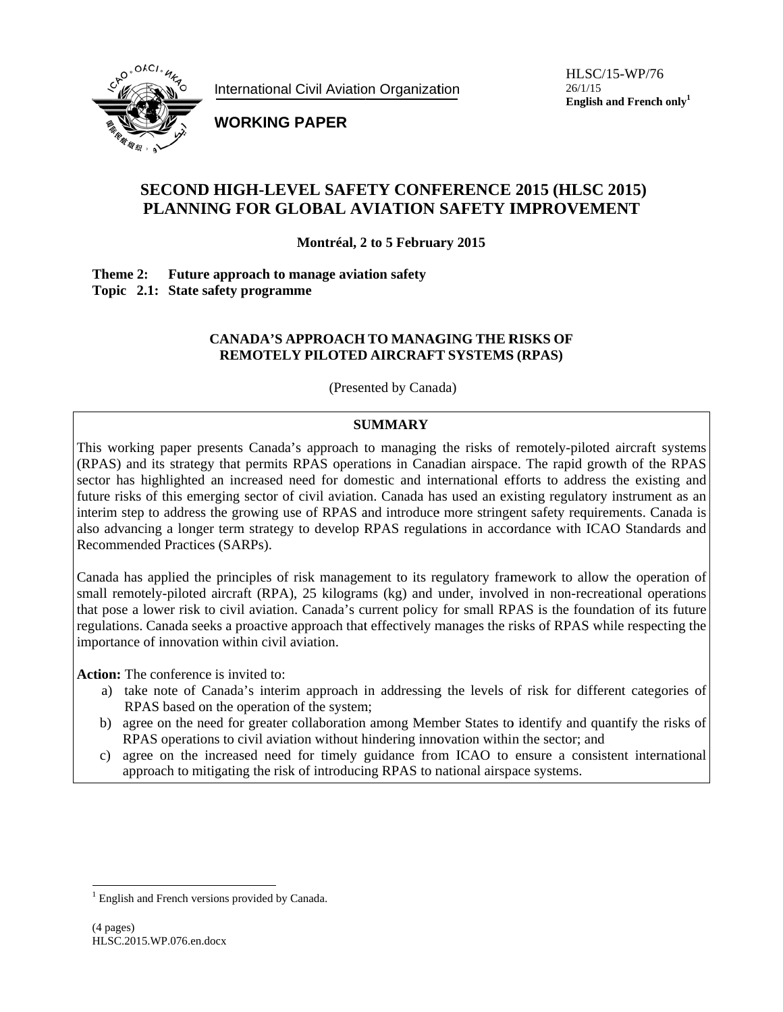

**International Civil Aviation Organization** 

HLSC/15-WP/76  $26/1/15$ English and French only<sup>1</sup>

**WORKING PAPER** 

# **SECOND HIGH-LEVEL SAFETY CONFERENCE 2015 (HLSC 2015)** PLANNING FOR GLOBAL AVIATION SAFETY IMPROVEMENT

Montréal, 2 to 5 February 2015

Future approach to manage aviation safety Theme 2: Topic 2.1: State safety programme

#### **CANADA'S APPROACH TO MANAGING THE RISKS OF** REMOTELY PILOTED AIRCRAFT SYSTEMS (RPAS)

(Presented by Canada)

# **SUMMARY**

This working paper presents Canada's approach to managing the risks of remotely-piloted aircraft systems (RPAS) and its strategy that permits RPAS operations in Canadian airspace. The rapid growth of the RPAS sector has highlighted an increased need for domestic and international efforts to address the existing and future risks of this emerging sector of civil aviation. Canada has used an existing regulatory instrument as an interim step to address the growing use of RPAS and introduce more stringent safety requirements. Canada is also advancing a longer term strategy to develop RPAS regulations in accordance with ICAO Standards and Recommended Practices (SARPs).

Canada has applied the principles of risk management to its regulatory framework to allow the operation of small remotely-piloted aircraft (RPA), 25 kilograms (kg) and under, involved in non-recreational operations that pose a lower risk to civil aviation. Canada's current policy for small RPAS is the foundation of its future regulations. Canada seeks a proactive approach that effectively manages the risks of RPAS while respecting the importance of innovation within civil aviation.

**Action:** The conference is invited to:

- a) take note of Canada's interim approach in addressing the levels of risk for different categories of RPAS based on the operation of the system;
- b) agree on the need for greater collaboration among Member States to identify and quantify the risks of RPAS operations to civil aviation without hindering innovation within the sector; and
- agree on the increased need for timely guidance from ICAO to ensure a consistent international  $\mathbf{c})$ approach to mitigating the risk of introducing RPAS to national airspace systems.

<sup>&</sup>lt;sup>1</sup> English and French versions provided by Canada.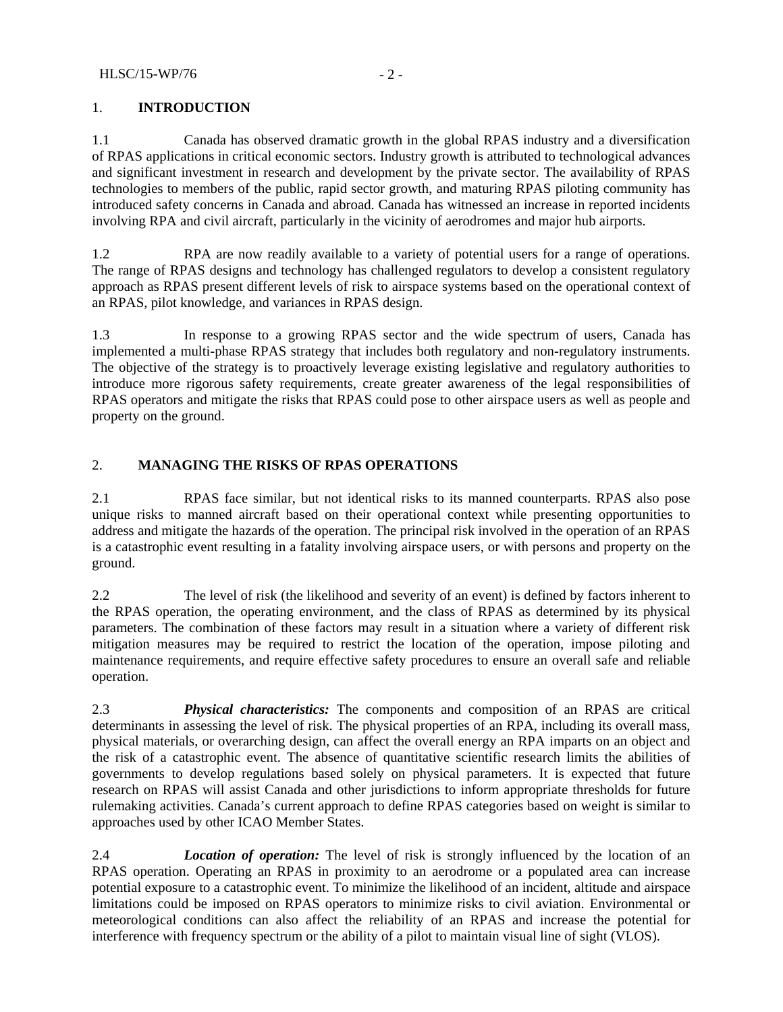#### 1. **INTRODUCTION**

1.1 Canada has observed dramatic growth in the global RPAS industry and a diversification of RPAS applications in critical economic sectors. Industry growth is attributed to technological advances and significant investment in research and development by the private sector. The availability of RPAS technologies to members of the public, rapid sector growth, and maturing RPAS piloting community has introduced safety concerns in Canada and abroad. Canada has witnessed an increase in reported incidents involving RPA and civil aircraft, particularly in the vicinity of aerodromes and major hub airports.

1.2 RPA are now readily available to a variety of potential users for a range of operations. The range of RPAS designs and technology has challenged regulators to develop a consistent regulatory approach as RPAS present different levels of risk to airspace systems based on the operational context of an RPAS, pilot knowledge, and variances in RPAS design.

1.3 In response to a growing RPAS sector and the wide spectrum of users, Canada has implemented a multi-phase RPAS strategy that includes both regulatory and non-regulatory instruments. The objective of the strategy is to proactively leverage existing legislative and regulatory authorities to introduce more rigorous safety requirements, create greater awareness of the legal responsibilities of RPAS operators and mitigate the risks that RPAS could pose to other airspace users as well as people and property on the ground.

## 2. **MANAGING THE RISKS OF RPAS OPERATIONS**

2.1 RPAS face similar, but not identical risks to its manned counterparts. RPAS also pose unique risks to manned aircraft based on their operational context while presenting opportunities to address and mitigate the hazards of the operation. The principal risk involved in the operation of an RPAS is a catastrophic event resulting in a fatality involving airspace users, or with persons and property on the ground.

2.2 The level of risk (the likelihood and severity of an event) is defined by factors inherent to the RPAS operation, the operating environment, and the class of RPAS as determined by its physical parameters. The combination of these factors may result in a situation where a variety of different risk mitigation measures may be required to restrict the location of the operation, impose piloting and maintenance requirements, and require effective safety procedures to ensure an overall safe and reliable operation.

2.3 *Physical characteristics:* The components and composition of an RPAS are critical determinants in assessing the level of risk. The physical properties of an RPA, including its overall mass, physical materials, or overarching design, can affect the overall energy an RPA imparts on an object and the risk of a catastrophic event. The absence of quantitative scientific research limits the abilities of governments to develop regulations based solely on physical parameters. It is expected that future research on RPAS will assist Canada and other jurisdictions to inform appropriate thresholds for future rulemaking activities. Canada's current approach to define RPAS categories based on weight is similar to approaches used by other ICAO Member States.

2.4 *Location of operation:* The level of risk is strongly influenced by the location of an RPAS operation. Operating an RPAS in proximity to an aerodrome or a populated area can increase potential exposure to a catastrophic event. To minimize the likelihood of an incident, altitude and airspace limitations could be imposed on RPAS operators to minimize risks to civil aviation. Environmental or meteorological conditions can also affect the reliability of an RPAS and increase the potential for interference with frequency spectrum or the ability of a pilot to maintain visual line of sight (VLOS).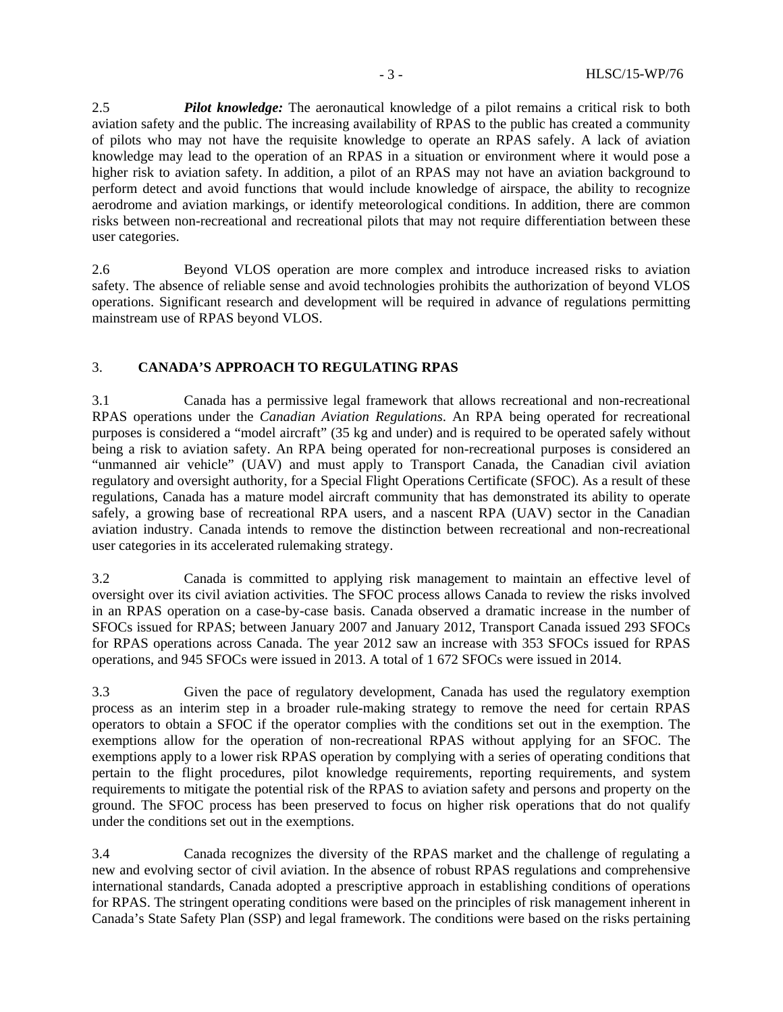2.5 *Pilot knowledge:* The aeronautical knowledge of a pilot remains a critical risk to both aviation safety and the public. The increasing availability of RPAS to the public has created a community of pilots who may not have the requisite knowledge to operate an RPAS safely. A lack of aviation knowledge may lead to the operation of an RPAS in a situation or environment where it would pose a higher risk to aviation safety. In addition, a pilot of an RPAS may not have an aviation background to perform detect and avoid functions that would include knowledge of airspace, the ability to recognize aerodrome and aviation markings, or identify meteorological conditions. In addition, there are common risks between non-recreational and recreational pilots that may not require differentiation between these user categories.

2.6 Beyond VLOS operation are more complex and introduce increased risks to aviation safety. The absence of reliable sense and avoid technologies prohibits the authorization of beyond VLOS operations. Significant research and development will be required in advance of regulations permitting mainstream use of RPAS beyond VLOS.

# 3. **CANADA'S APPROACH TO REGULATING RPAS**

3.1 Canada has a permissive legal framework that allows recreational and non-recreational RPAS operations under the *Canadian Aviation Regulations*. An RPA being operated for recreational purposes is considered a "model aircraft" (35 kg and under) and is required to be operated safely without being a risk to aviation safety. An RPA being operated for non-recreational purposes is considered an "unmanned air vehicle" (UAV) and must apply to Transport Canada, the Canadian civil aviation regulatory and oversight authority, for a Special Flight Operations Certificate (SFOC). As a result of these regulations, Canada has a mature model aircraft community that has demonstrated its ability to operate safely, a growing base of recreational RPA users, and a nascent RPA (UAV) sector in the Canadian aviation industry. Canada intends to remove the distinction between recreational and non-recreational user categories in its accelerated rulemaking strategy.

3.2 Canada is committed to applying risk management to maintain an effective level of oversight over its civil aviation activities. The SFOC process allows Canada to review the risks involved in an RPAS operation on a case-by-case basis. Canada observed a dramatic increase in the number of SFOCs issued for RPAS; between January 2007 and January 2012, Transport Canada issued 293 SFOCs for RPAS operations across Canada. The year 2012 saw an increase with 353 SFOCs issued for RPAS operations, and 945 SFOCs were issued in 2013. A total of 1 672 SFOCs were issued in 2014.

3.3 Given the pace of regulatory development, Canada has used the regulatory exemption process as an interim step in a broader rule-making strategy to remove the need for certain RPAS operators to obtain a SFOC if the operator complies with the conditions set out in the exemption. The exemptions allow for the operation of non-recreational RPAS without applying for an SFOC. The exemptions apply to a lower risk RPAS operation by complying with a series of operating conditions that pertain to the flight procedures, pilot knowledge requirements, reporting requirements, and system requirements to mitigate the potential risk of the RPAS to aviation safety and persons and property on the ground. The SFOC process has been preserved to focus on higher risk operations that do not qualify under the conditions set out in the exemptions.

3.4 Canada recognizes the diversity of the RPAS market and the challenge of regulating a new and evolving sector of civil aviation. In the absence of robust RPAS regulations and comprehensive international standards, Canada adopted a prescriptive approach in establishing conditions of operations for RPAS. The stringent operating conditions were based on the principles of risk management inherent in Canada's State Safety Plan (SSP) and legal framework. The conditions were based on the risks pertaining